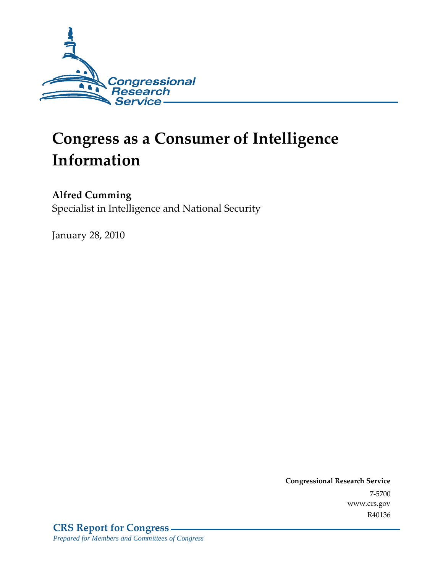

# **Congress as a Consumer of Intelligence Information**

### **Alfred Cumming**

Specialist in Intelligence and National Security

January 28, 2010

**Congressional Research Service** 7-5700 www.crs.gov R40136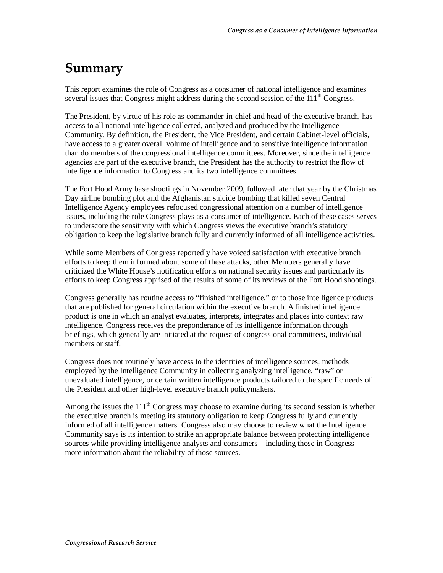### **Summary**

This report examines the role of Congress as a consumer of national intelligence and examines several issues that Congress might address during the second session of the 111<sup>th</sup> Congress.

The President, by virtue of his role as commander-in-chief and head of the executive branch, has access to all national intelligence collected, analyzed and produced by the Intelligence Community. By definition, the President, the Vice President, and certain Cabinet-level officials, have access to a greater overall volume of intelligence and to sensitive intelligence information than do members of the congressional intelligence committees. Moreover, since the intelligence agencies are part of the executive branch, the President has the authority to restrict the flow of intelligence information to Congress and its two intelligence committees.

The Fort Hood Army base shootings in November 2009, followed later that year by the Christmas Day airline bombing plot and the Afghanistan suicide bombing that killed seven Central Intelligence Agency employees refocused congressional attention on a number of intelligence issues, including the role Congress plays as a consumer of intelligence. Each of these cases serves to underscore the sensitivity with which Congress views the executive branch's statutory obligation to keep the legislative branch fully and currently informed of all intelligence activities.

While some Members of Congress reportedly have voiced satisfaction with executive branch efforts to keep them informed about some of these attacks, other Members generally have criticized the White House's notification efforts on national security issues and particularly its efforts to keep Congress apprised of the results of some of its reviews of the Fort Hood shootings.

Congress generally has routine access to "finished intelligence," or to those intelligence products that are published for general circulation within the executive branch. A finished intelligence product is one in which an analyst evaluates, interprets, integrates and places into context raw intelligence. Congress receives the preponderance of its intelligence information through briefings, which generally are initiated at the request of congressional committees, individual members or staff.

Congress does not routinely have access to the identities of intelligence sources, methods employed by the Intelligence Community in collecting analyzing intelligence, "raw" or unevaluated intelligence, or certain written intelligence products tailored to the specific needs of the President and other high-level executive branch policymakers.

Among the issues the  $111<sup>th</sup>$  Congress may choose to examine during its second session is whether the executive branch is meeting its statutory obligation to keep Congress fully and currently informed of all intelligence matters. Congress also may choose to review what the Intelligence Community says is its intention to strike an appropriate balance between protecting intelligence sources while providing intelligence analysts and consumers—including those in Congress more information about the reliability of those sources.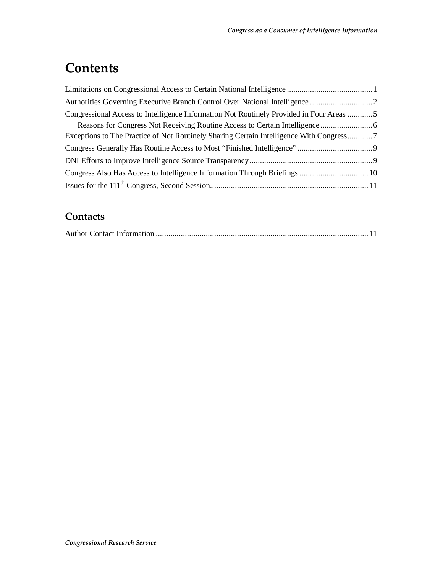### **Contents**

| Congressional Access to Intelligence Information Not Routinely Provided in Four Areas 5 |  |
|-----------------------------------------------------------------------------------------|--|
|                                                                                         |  |
| Exceptions to The Practice of Not Routinely Sharing Certain Intelligence With Congress7 |  |
|                                                                                         |  |
|                                                                                         |  |
|                                                                                         |  |
|                                                                                         |  |

#### **Contacts**

|--|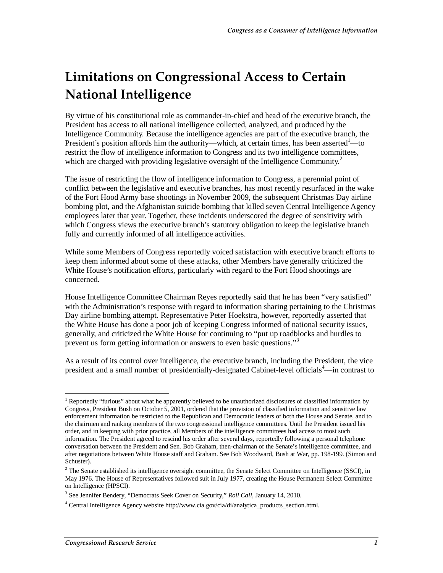# **Limitations on Congressional Access to Certain National Intelligence**

By virtue of his constitutional role as commander-in-chief and head of the executive branch, the President has access to all national intelligence collected, analyzed, and produced by the Intelligence Community. Because the intelligence agencies are part of the executive branch, the President's position affords him the authority—which, at certain times, has been asserted<sup>1</sup>—to restrict the flow of intelligence information to Congress and its two intelligence committees, which are charged with providing legislative oversight of the Intelligence Community.<sup>2</sup>

The issue of restricting the flow of intelligence information to Congress, a perennial point of conflict between the legislative and executive branches, has most recently resurfaced in the wake of the Fort Hood Army base shootings in November 2009, the subsequent Christmas Day airline bombing plot, and the Afghanistan suicide bombing that killed seven Central Intelligence Agency employees later that year. Together, these incidents underscored the degree of sensitivity with which Congress views the executive branch's statutory obligation to keep the legislative branch fully and currently informed of all intelligence activities.

While some Members of Congress reportedly voiced satisfaction with executive branch efforts to keep them informed about some of these attacks, other Members have generally criticized the White House's notification efforts, particularly with regard to the Fort Hood shootings are concerned.

House Intelligence Committee Chairman Reyes reportedly said that he has been "very satisfied" with the Administration's response with regard to information sharing pertaining to the Christmas Day airline bombing attempt. Representative Peter Hoekstra, however, reportedly asserted that the White House has done a poor job of keeping Congress informed of national security issues, generally, and criticized the White House for continuing to "put up roadblocks and hurdles to prevent us form getting information or answers to even basic questions."<sup>3</sup>

As a result of its control over intelligence, the executive branch, including the President, the vice president and a small number of presidentially-designated Cabinet-level officials<sup>4</sup>—in contrast to

<sup>-</sup><sup>1</sup> Reportedly "furious" about what he apparently believed to be unauthorized disclosures of classified information by Congress, President Bush on October 5, 2001, ordered that the provision of classified information and sensitive law enforcement information be restricted to the Republican and Democratic leaders of both the House and Senate, and to the chairmen and ranking members of the two congressional intelligence committees. Until the President issued his order, and in keeping with prior practice, all Members of the intelligence committees had access to most such information. The President agreed to rescind his order after several days, reportedly following a personal telephone conversation between the President and Sen. Bob Graham, then-chairman of the Senate's intelligence committee, and after negotiations between White House staff and Graham. See Bob Woodward, Bush at War, pp. 198-199. (Simon and Schuster).

 $2^2$  The Senate established its intelligence oversight committee, the Senate Select Committee on Intelligence (SSCI), in May 1976. The House of Representatives followed suit in July 1977, creating the House Permanent Select Committee on Intelligence (HPSCI).

<sup>3</sup> See Jennifer Bendery, "Democrats Seek Cover on Security," *Roll Call*, January 14, 2010.

<sup>&</sup>lt;sup>4</sup> Central Intelligence Agency website http://www.cia.gov/cia/di/analytica\_products\_section.html.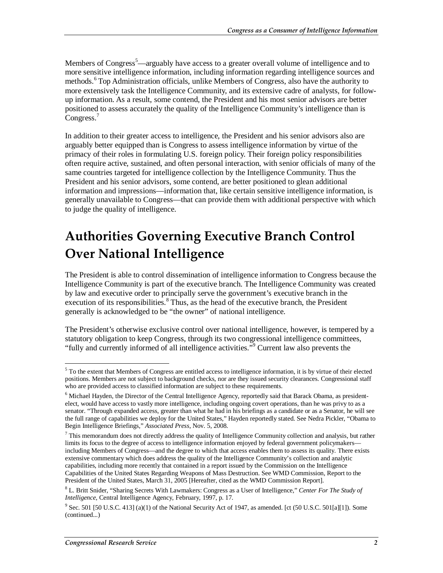Members of Congress<sup>5</sup>—arguably have access to a greater overall volume of intelligence and to more sensitive intelligence information, including information regarding intelligence sources and methods.<sup>6</sup> Top Administration officials, unlike Members of Congress, also have the authority to more extensively task the Intelligence Community, and its extensive cadre of analysts, for followup information. As a result, some contend, the President and his most senior advisors are better positioned to assess accurately the quality of the Intelligence Community's intelligence than is Congress.<sup>7</sup>

In addition to their greater access to intelligence, the President and his senior advisors also are arguably better equipped than is Congress to assess intelligence information by virtue of the primacy of their roles in formulating U.S. foreign policy. Their foreign policy responsibilities often require active, sustained, and often personal interaction, with senior officials of many of the same countries targeted for intelligence collection by the Intelligence Community. Thus the President and his senior advisors, some contend, are better positioned to glean additional information and impressions—information that, like certain sensitive intelligence information, is generally unavailable to Congress—that can provide them with additional perspective with which to judge the quality of intelligence.

### **Authorities Governing Executive Branch Control Over National Intelligence**

The President is able to control dissemination of intelligence information to Congress because the Intelligence Community is part of the executive branch. The Intelligence Community was created by law and executive order to principally serve the government's executive branch in the execution of its responsibilities.<sup>8</sup> Thus, as the head of the executive branch, the President generally is acknowledged to be "the owner" of national intelligence.

The President's otherwise exclusive control over national intelligence, however, is tempered by a statutory obligation to keep Congress, through its two congressional intelligence committees, "fully and currently informed of all intelligence activities."<sup>9</sup> Current law also prevents the

<sup>&</sup>lt;sup>5</sup> To the extent that Members of Congress are entitled access to intelligence information, it is by virtue of their elected positions. Members are not subject to background checks, nor are they issued security clearances. Congressional staff who are provided access to classified information are subject to these requirements.

<sup>&</sup>lt;sup>6</sup> Michael Hayden, the Director of the Central Intelligence Agency, reportedly said that Barack Obama, as presidentelect, would have access to vastly more intelligence, including ongoing covert operations, than he was privy to as a senator. "Through expanded access, greater than what he had in his briefings as a candidate or as a Senator, he will see the full range of capabilities we deploy for the United States," Hayden reportedly stated. See Nedra Pickler, "Obama to Begin Intelligence Briefings," *Associated Press*, Nov. 5, 2008.

 $<sup>7</sup>$  This memorandum does not directly address the quality of Intelligence Community collection and analysis, but rather</sup> limits its focus to the degree of access to intelligence information enjoyed by federal government policymakers including Members of Congress—and the degree to which that access enables them to assess its quality. There exists extensive commentary which does address the quality of the Intelligence Community's collection and analytic capabilities, including more recently that contained in a report issued by the Commission on the Intelligence Capabilities of the United States Regarding Weapons of Mass Destruction. See WMD Commission, Report to the President of the United States, March 31, 2005 [Hereafter, cited as the WMD Commission Report].

<sup>8</sup> L. Britt Snider, "Sharing Secrets With Lawmakers: Congress as a User of Intelligence," *Center For The Study of Intelligence*, Central Intelligence Agency, February, 1997, p. 17.

<sup>&</sup>lt;sup>9</sup> Sec. 501 [50 U.S.C. 413] (a)(1) of the National Security Act of 1947, as amended. [ct (50 U.S.C. 501[a][1]). Some (continued...)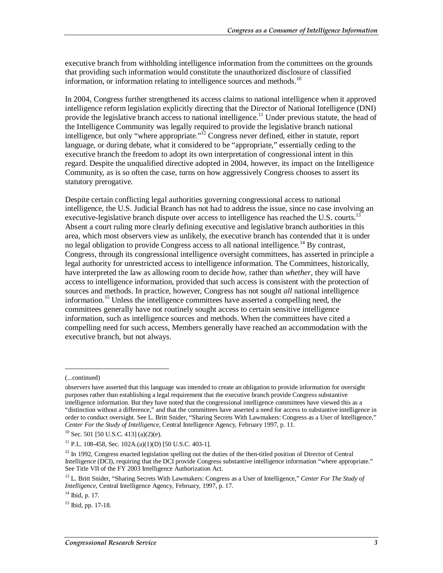executive branch from withholding intelligence information from the committees on the grounds that providing such information would constitute the unauthorized disclosure of classified information, or information relating to intelligence sources and methods.<sup>10</sup>

In 2004, Congress further strengthened its access claims to national intelligence when it approved intelligence reform legislation explicitly directing that the Director of National Intelligence (DNI) provide the legislative branch access to national intelligence.<sup>11</sup> Under previous statute, the head of the Intelligence Community was legally required to provide the legislative branch national intelligence, but only "where appropriate."<sup>12</sup> Congress never defined, either in statute, report language, or during debate, what it considered to be "appropriate," essentially ceding to the executive branch the freedom to adopt its own interpretation of congressional intent in this regard. Despite the unqualified directive adopted in 2004, however, its impact on the Intelligence Community, as is so often the case, turns on how aggressively Congress chooses to assert its statutory prerogative.

Despite certain conflicting legal authorities governing congressional access to national intelligence, the U.S. Judicial Branch has not had to address the issue, since no case involving an executive-legislative branch dispute over access to intelligence has reached the U.S. courts.<sup>13</sup> Absent a court ruling more clearly defining executive and legislative branch authorities in this area, which most observers view as unlikely, the executive branch has contended that it is under no legal obligation to provide Congress access to all national intelligence.<sup>14</sup> By contrast, Congress, through its congressional intelligence oversight committees, has asserted in principle a legal authority for unrestricted access to intelligence information. The Committees, historically, have interpreted the law as allowing room to decide *how*, rather than *whether*, they will have access to intelligence information, provided that such access is consistent with the protection of sources and methods. In practice, however, Congress has not sought *all* national intelligence information.<sup>15</sup> Unless the intelligence committees have asserted a compelling need, the committees generally have not routinely sought access to certain sensitive intelligence information, such as intelligence sources and methods. When the committees have cited a compelling need for such access, Members generally have reached an accommodation with the executive branch, but not always.

<u>.</u>

<sup>(...</sup>continued)

observers have asserted that this language was intended to create an obligation to provide information for oversight purposes rather than establishing a legal requirement that the executive branch provide Congress substantive intelligence information. But they have noted that the congressional intelligence committees have viewed this as a "distinction without a difference," and that the committees have asserted a need for access to substantive intelligence in order to conduct oversight. See L. Britt Snider, "Sharing Secrets With Lawmakers: Congress as a User of Intelligence," *Center For the Study of Intelligence*, Central Intelligence Agency, February 1997, p. 11. <sup>10</sup> Sec. 501 [50 U.S.C. 413] (a)(2)(e).

<sup>&</sup>lt;sup>11</sup> P.L. 108-458, Sec. 102A.(a)(1)(D) [50 U.S.C. 403-1].

<sup>&</sup>lt;sup>12</sup> In 1992, Congress enacted legislation spelling out the duties of the then-titled position of Director of Central Intelligence (DCI), requiring that the DCI provide Congress substantive intelligence information "where appropriate." See Title VII of the FY 2003 Intelligence Authorization Act.

<sup>13</sup> L. Britt Snider, "Sharing Secrets With Lawmakers: Congress as a User of Intelligence," *Center For The Study of Intelligence*, Central Intelligence Agency, February, 1997, p. 17. <sup>14</sup> Ibid, p. 17.

 $15$  Ibid, pp. 17-18.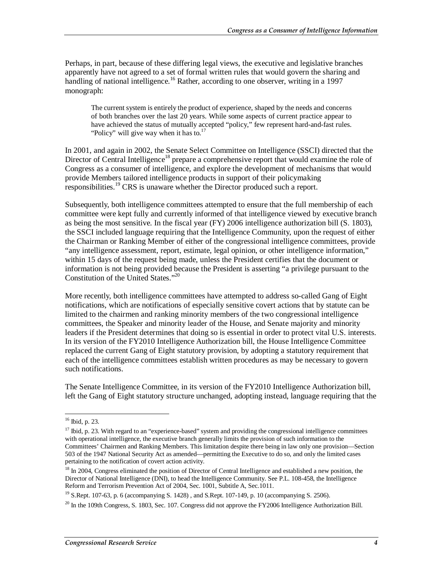Perhaps, in part, because of these differing legal views, the executive and legislative branches apparently have not agreed to a set of formal written rules that would govern the sharing and handling of national intelligence.<sup>16</sup> Rather, according to one observer, writing in a 1997 monograph:

The current system is entirely the product of experience, shaped by the needs and concerns of both branches over the last 20 years. While some aspects of current practice appear to have achieved the status of mutually accepted "policy," few represent hard-and-fast rules. "Policy" will give way when it has to. $^{17}$ 

In 2001, and again in 2002, the Senate Select Committee on Intelligence (SSCI) directed that the Director of Central Intelligence<sup>18</sup> prepare a comprehensive report that would examine the role of Congress as a consumer of intelligence, and explore the development of mechanisms that would provide Members tailored intelligence products in support of their policymaking responsibilities.<sup>19</sup> CRS is unaware whether the Director produced such a report.

Subsequently, both intelligence committees attempted to ensure that the full membership of each committee were kept fully and currently informed of that intelligence viewed by executive branch as being the most sensitive. In the fiscal year (FY) 2006 intelligence authorization bill (S. 1803), the SSCI included language requiring that the Intelligence Community, upon the request of either the Chairman or Ranking Member of either of the congressional intelligence committees, provide "any intelligence assessment, report, estimate, legal opinion, or other intelligence information," within 15 days of the request being made, unless the President certifies that the document or information is not being provided because the President is asserting "a privilege pursuant to the Constitution of the United States."20

More recently, both intelligence committees have attempted to address so-called Gang of Eight notifications, which are notifications of especially sensitive covert actions that by statute can be limited to the chairmen and ranking minority members of the two congressional intelligence committees, the Speaker and minority leader of the House, and Senate majority and minority leaders if the President determines that doing so is essential in order to protect vital U.S. interests. In its version of the FY2010 Intelligence Authorization bill, the House Intelligence Committee replaced the current Gang of Eight statutory provision, by adopting a statutory requirement that each of the intelligence committees establish written procedures as may be necessary to govern such notifications.

The Senate Intelligence Committee, in its version of the FY2010 Intelligence Authorization bill, left the Gang of Eight statutory structure unchanged, adopting instead, language requiring that the

 $16$  Ibid, p. 23.

 $17$  Ibid, p. 23. With regard to an "experience-based" system and providing the congressional intelligence committees with operational intelligence, the executive branch generally limits the provision of such information to the Committees' Chairmen and Ranking Members. This limitation despite there being in law only one provision—Section 503 of the 1947 National Security Act as amended—permitting the Executive to do so, and only the limited cases pertaining to the notification of covert action activity.

 $18 \text{ In } 2004$ , Congress eliminated the position of Director of Central Intelligence and established a new position, the Director of National Intelligence (DNI), to head the Intelligence Community. See P.L. 108-458, the Intelligence Reform and Terrorism Prevention Act of 2004, Sec. 1001, Subtitle A, Sec.1011.

<sup>&</sup>lt;sup>19</sup> S.Rept. 107-63, p. 6 (accompanying S. 1428), and S.Rept. 107-149, p. 10 (accompanying S. 2506).

 $^{20}$  In the 109th Congress, S. 1803, Sec. 107. Congress did not approve the FY2006 Intelligence Authorization Bill.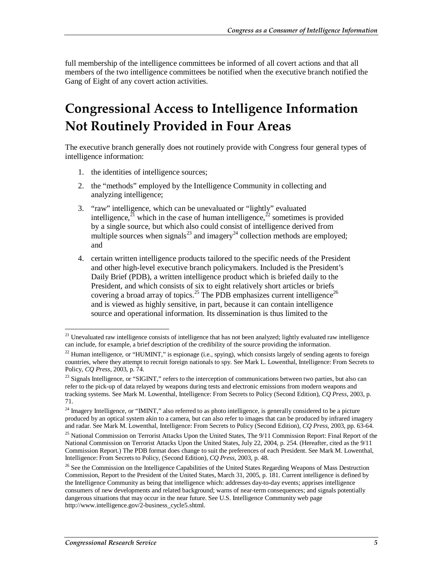full membership of the intelligence committees be informed of all covert actions and that all members of the two intelligence committees be notified when the executive branch notified the Gang of Eight of any covert action activities.

### **Congressional Access to Intelligence Information Not Routinely Provided in Four Areas**

The executive branch generally does not routinely provide with Congress four general types of intelligence information:

- 1. the identities of intelligence sources;
- 2. the "methods" employed by the Intelligence Community in collecting and analyzing intelligence;
- 3. "raw" intelligence, which can be unevaluated or "lightly" evaluated intelligence,<sup>21</sup> which in the case of human intelligence,<sup>22</sup> sometimes is provided by a single source, but which also could consist of intelligence derived from multiple sources when signals<sup>23</sup> and imagery<sup>24</sup> collection methods are employed; and
- 4. certain written intelligence products tailored to the specific needs of the President and other high-level executive branch policymakers. Included is the President's Daily Brief (PDB), a written intelligence product which is briefed daily to the President, and which consists of six to eight relatively short articles or briefs covering a broad array of topics.<sup>25</sup> The PDB emphasizes current intelligence<sup>26</sup> and is viewed as highly sensitive, in part, because it can contain intelligence source and operational information. Its dissemination is thus limited to the

<sup>-</sup> $2<sup>1</sup>$  Unevaluated raw intelligence consists of intelligence that has not been analyzed; lightly evaluated raw intelligence can include, for example, a brief description of the credibility of the source providing the information.

 $^{22}$  Human intelligence, or "HUMINT," is espionage (i.e., spying), which consists largely of sending agents to foreign countries, where they attempt to recruit foreign nationals to spy. See Mark L. Lowenthal, Intelligence: From Secrets to Policy, *CQ Press*, 2003, p. 74.

<sup>&</sup>lt;sup>23</sup> Signals Intelligence, or "SIGINT," refers to the interception of communications between two parties, but also can refer to the pick-up of data relayed by weapons during tests and electronic emissions from modern weapons and tracking systems. See Mark M. Lowenthal, Intelligence: From Secrets to Policy (Second Edition), *CQ Press*, 2003, p. 71.

 $24$  Imagery Intelligence, or "IMINT," also referred to as photo intelligence, is generally considered to be a picture produced by an optical system akin to a camera, but can also refer to images that can be produced by infrared imagery and radar. See Mark M. Lowenthal, Intelligence: From Secrets to Policy (Second Edition), *CQ Press*, 2003, pp. 63-64.

<sup>&</sup>lt;sup>25</sup> National Commission on Terrorist Attacks Upon the United States, The 9/11 Commission Report: Final Report of the National Commission on Terrorist Attacks Upon the United States, July 22, 2004, p. 254. (Hereafter, cited as the 9/11 Commission Report.) The PDB format does change to suit the preferences of each President. See Mark M. Lowenthal, Intelligence: From Secrets to Policy, (Second Edition), *CQ Press*, 2003, p. 48.

<sup>&</sup>lt;sup>26</sup> See the Commission on the Intelligence Capabilities of the United States Regarding Weapons of Mass Destruction Commission, Report to the President of the United States, March 31, 2005, p. 181. Current intelligence is defined by the Intelligence Community as being that intelligence which: addresses day-to-day events; apprises intelligence consumers of new developments and related background; warns of near-term consequences; and signals potentially dangerous situations that may occur in the near future. See U.S. Intelligence Community web page http://www.intelligence.gov/2-business\_cycle5.shtml.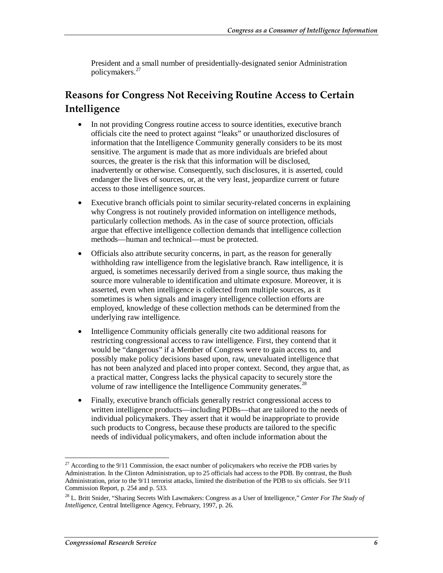President and a small number of presidentially-designated senior Administration policymakers.<sup>27</sup>

#### **Reasons for Congress Not Receiving Routine Access to Certain Intelligence**

- In not providing Congress routine access to source identities, executive branch officials cite the need to protect against "leaks" or unauthorized disclosures of information that the Intelligence Community generally considers to be its most sensitive. The argument is made that as more individuals are briefed about sources, the greater is the risk that this information will be disclosed, inadvertently or otherwise. Consequently, such disclosures, it is asserted, could endanger the lives of sources, or, at the very least, jeopardize current or future access to those intelligence sources.
- Executive branch officials point to similar security-related concerns in explaining why Congress is not routinely provided information on intelligence methods, particularly collection methods. As in the case of source protection, officials argue that effective intelligence collection demands that intelligence collection methods—human and technical—must be protected.
- Officials also attribute security concerns, in part, as the reason for generally withholding raw intelligence from the legislative branch. Raw intelligence, it is argued, is sometimes necessarily derived from a single source, thus making the source more vulnerable to identification and ultimate exposure. Moreover, it is asserted, even when intelligence is collected from multiple sources, as it sometimes is when signals and imagery intelligence collection efforts are employed, knowledge of these collection methods can be determined from the underlying raw intelligence.
- Intelligence Community officials generally cite two additional reasons for restricting congressional access to raw intelligence. First, they contend that it would be "dangerous" if a Member of Congress were to gain access to, and possibly make policy decisions based upon, raw, unevaluated intelligence that has not been analyzed and placed into proper context. Second, they argue that, as a practical matter, Congress lacks the physical capacity to securely store the volume of raw intelligence the Intelligence Community generates.<sup>2</sup>
- Finally, executive branch officials generally restrict congressional access to written intelligence products—including PDBs—that are tailored to the needs of individual policymakers. They assert that it would be inappropriate to provide such products to Congress, because these products are tailored to the specific needs of individual policymakers, and often include information about the

 $27$  According to the 9/11 Commission, the exact number of policymakers who receive the PDB varies by Administration. In the Clinton Administration, up to 25 officials had access to the PDB. By contrast, the Bush Administration, prior to the 9/11 terrorist attacks, limited the distribution of the PDB to six officials. See 9/11 Commission Report, p. 254 and p. 533.

<sup>28</sup> L. Britt Snider, "Sharing Secrets With Lawmakers: Congress as a User of Intelligence," *Center For The Study of Intelligence*, Central Intelligence Agency, February, 1997, p. 26.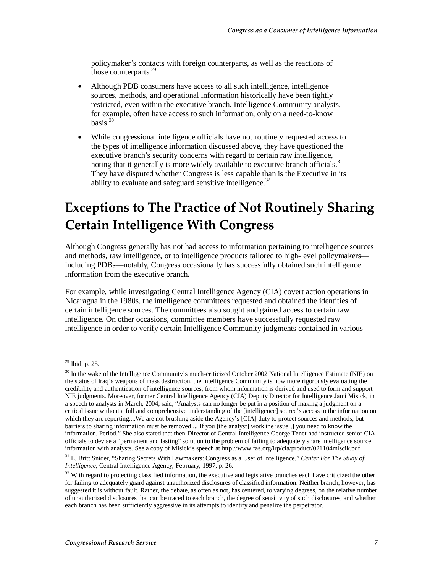policymaker's contacts with foreign counterparts, as well as the reactions of those counterparts.<sup>29</sup>

- Although PDB consumers have access to all such intelligence, intelligence sources, methods, and operational information historically have been tightly restricted, even within the executive branch. Intelligence Community analysts, for example, often have access to such information, only on a need-to-know basis $^{30}$
- While congressional intelligence officials have not routinely requested access to the types of intelligence information discussed above, they have questioned the executive branch's security concerns with regard to certain raw intelligence, noting that it generally is more widely available to executive branch officials.<sup>31</sup> They have disputed whether Congress is less capable than is the Executive in its ability to evaluate and safeguard sensitive intelligence.<sup>32</sup>

### **Exceptions to The Practice of Not Routinely Sharing Certain Intelligence With Congress**

Although Congress generally has not had access to information pertaining to intelligence sources and methods, raw intelligence, or to intelligence products tailored to high-level policymakers including PDBs—notably, Congress occasionally has successfully obtained such intelligence information from the executive branch.

For example, while investigating Central Intelligence Agency (CIA) covert action operations in Nicaragua in the 1980s, the intelligence committees requested and obtained the identities of certain intelligence sources. The committees also sought and gained access to certain raw intelligence. On other occasions, committee members have successfully requested raw intelligence in order to verify certain Intelligence Community judgments contained in various

<u>.</u>

 $^{29}$  Ibid, p. 25.

<sup>&</sup>lt;sup>30</sup> In the wake of the Intelligence Community's much-criticized October 2002 National Intelligence Estimate (NIE) on the status of Iraq's weapons of mass destruction, the Intelligence Community is now more rigorously evaluating the credibility and authentication of intelligence sources, from whom information is derived and used to form and support NIE judgments. Moreover, former Central Intelligence Agency (CIA) Deputy Director for Intelligence Jami Misick, in a speech to analysts in March, 2004, said, "Analysts can no longer be put in a position of making a judgment on a critical issue without a full and comprehensive understanding of the [intelligence] source's access to the information on which they are reporting....We are not brushing aside the Agency's [CIA] duty to protect sources and methods, but barriers to sharing information must be removed ... If you [the analyst] work the issue[,] you need to know the information. Period." She also stated that then-Director of Central Intelligence George Tenet had instructed senior CIA officials to devise a "permanent and lasting" solution to the problem of failing to adequately share intelligence source information with analysts. See a copy of Misick's speech at http://www.fas.org/irp/cia/product/021104miscik.pdf.

<sup>31</sup> L. Britt Snider, "Sharing Secrets With Lawmakers: Congress as a User of Intelligence," *Center For The Study of Intelligence*, Central Intelligence Agency, February, 1997, p. 26.

 $32$  With regard to protecting classified information, the executive and legislative branches each have criticized the other for failing to adequately guard against unauthorized disclosures of classified information. Neither branch, however, has suggested it is without fault. Rather, the debate, as often as not, has centered, to varying degrees, on the relative number of unauthorized disclosures that can be traced to each branch, the degree of sensitivity of such disclosures, and whether each branch has been sufficiently aggressive in its attempts to identify and penalize the perpetrator.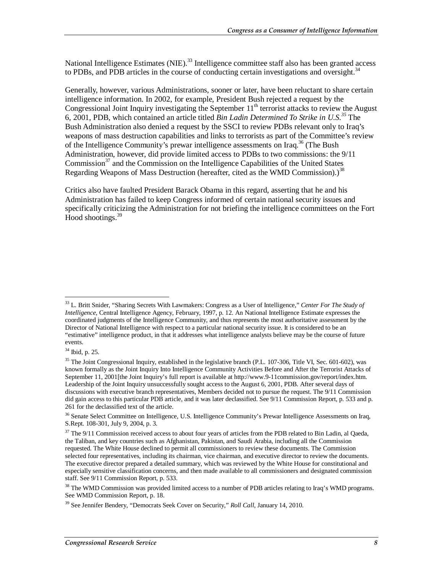National Intelligence Estimates (NIE).<sup>33</sup> Intelligence committee staff also has been granted access to PDBs, and PDB articles in the course of conducting certain investigations and oversight.<sup>34</sup>

Generally, however, various Administrations, sooner or later, have been reluctant to share certain intelligence information. In 2002, for example, President Bush rejected a request by the Congressional Joint Inquiry investigating the September  $11<sup>th</sup>$  terrorist attacks to review the August 6, 2001, PDB, which contained an article titled *Bin Ladin Determined To Strike in U.S.35* The Bush Administration also denied a request by the SSCI to review PDBs relevant only to Iraq's weapons of mass destruction capabilities and links to terrorists as part of the Committee's review of the Intelligence Community's prewar intelligence assessments on Iraq.<sup>36</sup> (The Bush Administration, however, did provide limited access to PDBs to two commissions: the 9/11 Commission<sup>37</sup> and the Commission on the Intelligence Capabilities of the United States Regarding Weapons of Mass Destruction (hereafter, cited as the WMD Commission).)<sup>38</sup>

Critics also have faulted President Barack Obama in this regard, asserting that he and his Administration has failed to keep Congress informed of certain national security issues and specifically criticizing the Administration for not briefing the intelligence committees on the Fort Hood shootings.<sup>39</sup>

<sup>33</sup> L. Britt Snider, "Sharing Secrets With Lawmakers: Congress as a User of Intelligence," *Center For The Study of Intelligence*, Central Intelligence Agency, February, 1997, p. 12. An National Intelligence Estimate expresses the coordinated judgments of the Intelligence Community, and thus represents the most authoritative assessment by the Director of National Intelligence with respect to a particular national security issue. It is considered to be an "estimative" intelligence product, in that it addresses what intelligence analysts believe may be the course of future events.

<sup>34</sup> Ibid, p. 25.

<sup>&</sup>lt;sup>35</sup> The Joint Congressional Inquiry, established in the legislative branch (P.L. 107-306, Title VI, Sec. 601-602), was known formally as the Joint Inquiry Into Intelligence Community Activities Before and After the Terrorist Attacks of September 11, 2001[the Joint Inquiry's full report is available at http://www.9-11commission.gov/report/index.htm. Leadership of the Joint Inquiry unsuccessfully sought access to the August 6, 2001, PDB. After several days of discussions with executive branch representatives, Members decided not to pursue the request. The 9/11 Commission did gain access to this particular PDB article, and it was later declassified. See 9/11 Commission Report, p. 533 and p. 261 for the declassified text of the article.

<sup>&</sup>lt;sup>36</sup> Senate Select Committee on Intelligence, U.S. Intelligence Community's Prewar Intelligence Assessments on Iraq, S.Rept. 108-301, July 9, 2004, p. 3.

 $37$  The  $9/11$  Commission received access to about four years of articles from the PDB related to Bin Ladin, al Qaeda, the Taliban, and key countries such as Afghanistan, Pakistan, and Saudi Arabia, including all the Commission requested. The White House declined to permit all commissioners to review these documents. The Commission selected four representatives, including its chairman, vice chairman, and executive director to review the documents. The executive director prepared a detailed summary, which was reviewed by the White House for constitutional and especially sensitive classification concerns, and then made available to all commissioners and designated commission staff. See 9/11 Commission Report, p. 533.

<sup>&</sup>lt;sup>38</sup> The WMD Commission was provided limited access to a number of PDB articles relating to Iraq's WMD programs. See WMD Commission Report, p. 18.

<sup>39</sup> See Jennifer Bendery, "Democrats Seek Cover on Security," *Roll Call*, January 14, 2010.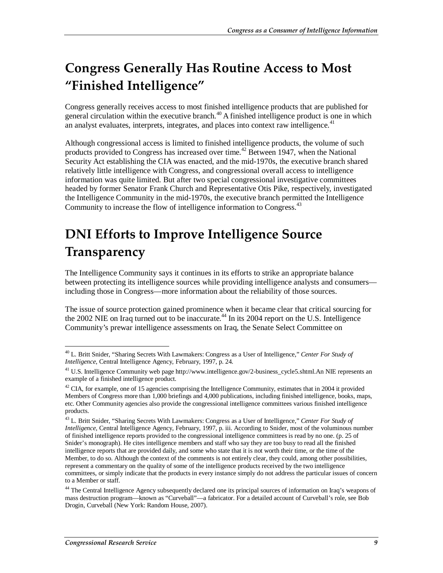# **Congress Generally Has Routine Access to Most "Finished Intelligence"**

Congress generally receives access to most finished intelligence products that are published for general circulation within the executive branch.<sup>40</sup> A finished intelligence product is one in which an analyst evaluates, interprets, integrates, and places into context raw intelligence.<sup>41</sup>

Although congressional access is limited to finished intelligence products, the volume of such products provided to Congress has increased over time.<sup>42</sup> Between 1947, when the National Security Act establishing the CIA was enacted, and the mid-1970s, the executive branch shared relatively little intelligence with Congress, and congressional overall access to intelligence information was quite limited. But after two special congressional investigative committees headed by former Senator Frank Church and Representative Otis Pike, respectively, investigated the Intelligence Community in the mid-1970s, the executive branch permitted the Intelligence Community to increase the flow of intelligence information to Congress.<sup>43</sup>

### **DNI Efforts to Improve Intelligence Source Transparency**

The Intelligence Community says it continues in its efforts to strike an appropriate balance between protecting its intelligence sources while providing intelligence analysts and consumers including those in Congress—more information about the reliability of those sources.

The issue of source protection gained prominence when it became clear that critical sourcing for the 2002 NIE on Iraq turned out to be inaccurate.<sup>44</sup> In its 2004 report on the U.S. Intelligence Community's prewar intelligence assessments on Iraq, the Senate Select Committee on

<sup>-</sup>40 L. Britt Snider, "Sharing Secrets With Lawmakers: Congress as a User of Intelligence," *Center For Study of Intelligence*, Central Intelligence Agency, February, 1997, p. 24.

<sup>&</sup>lt;sup>41</sup> U.S. Intelligence Community web page http://www.intelligence.gov/2-business\_cycle5.shtml.An NIE represents an example of a finished intelligence product.

 $42$  CIA, for example, one of 15 agencies comprising the Intelligence Community, estimates that in 2004 it provided Members of Congress more than 1,000 briefings and 4,000 publications, including finished intelligence, books, maps, etc. Other Community agencies also provide the congressional intelligence committees various finished intelligence products.

<sup>43</sup> L. Britt Snider, "Sharing Secrets With Lawmakers: Congress as a User of Intelligence," *Center For Study of Intelligence*, Central Intelligence Agency, February, 1997, p. iii. According to Snider, most of the voluminous number of finished intelligence reports provided to the congressional intelligence committees is read by no one. (p. 25 of Snider's monograph). He cites intelligence members and staff who say they are too busy to read all the finished intelligence reports that are provided daily, and some who state that it is not worth their time, or the time of the Member, to do so. Although the context of the comments is not entirely clear, they could, among other possibilities, represent a commentary on the quality of some of the intelligence products received by the two intelligence committees, or simply indicate that the products in every instance simply do not address the particular issues of concern to a Member or staff.

<sup>&</sup>lt;sup>44</sup> The Central Intelligence Agency subsequently declared one its principal sources of information on Iraq's weapons of mass destruction program—known as "Curveball"—a fabricator. For a detailed account of Curveball's role, see Bob Drogin, Curveball (New York: Random House, 2007).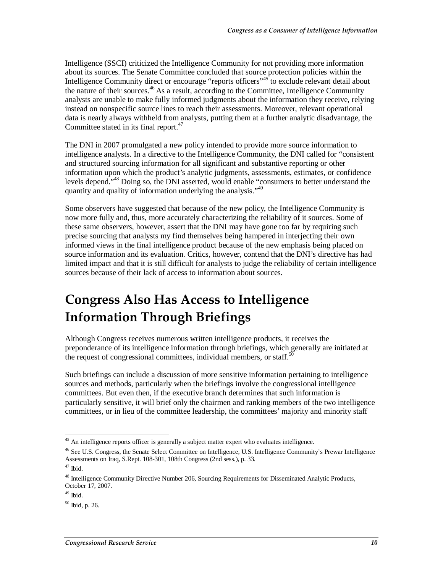Intelligence (SSCI) criticized the Intelligence Community for not providing more information about its sources. The Senate Committee concluded that source protection policies within the Intelligence Community direct or encourage "reports officers"<sup>45</sup> to exclude relevant detail about the nature of their sources.<sup>46</sup> As a result, according to the Committee, Intelligence Community analysts are unable to make fully informed judgments about the information they receive, relying instead on nonspecific source lines to reach their assessments. Moreover, relevant operational data is nearly always withheld from analysts, putting them at a further analytic disadvantage, the Committee stated in its final report.<sup>47</sup>

The DNI in 2007 promulgated a new policy intended to provide more source information to intelligence analysts. In a directive to the Intelligence Community, the DNI called for "consistent and structured sourcing information for all significant and substantive reporting or other information upon which the product's analytic judgments, assessments, estimates, or confidence levels depend."<sup>48</sup> Doing so, the DNI asserted, would enable "consumers to better understand the quantity and quality of information underlying the analysis."<sup>49</sup>

Some observers have suggested that because of the new policy, the Intelligence Community is now more fully and, thus, more accurately characterizing the reliability of it sources. Some of these same observers, however, assert that the DNI may have gone too far by requiring such precise sourcing that analysts my find themselves being hampered in interjecting their own informed views in the final intelligence product because of the new emphasis being placed on source information and its evaluation. Critics, however, contend that the DNI's directive has had limited impact and that it is still difficult for analysts to judge the reliability of certain intelligence sources because of their lack of access to information about sources.

### **Congress Also Has Access to Intelligence Information Through Briefings**

Although Congress receives numerous written intelligence products, it receives the preponderance of its intelligence information through briefings, which generally are initiated at the request of congressional committees, individual members, or staff.<sup>50</sup>

Such briefings can include a discussion of more sensitive information pertaining to intelligence sources and methods, particularly when the briefings involve the congressional intelligence committees. But even then, if the executive branch determines that such information is particularly sensitive, it will brief only the chairmen and ranking members of the two intelligence committees, or in lieu of the committee leadership, the committees' majority and minority staff

<sup>-</sup><sup>45</sup> An intelligence reports officer is generally a subject matter expert who evaluates intelligence.

<sup>&</sup>lt;sup>46</sup> See U.S. Congress, the Senate Select Committee on Intelligence, U.S. Intelligence Community's Prewar Intelligence Assessments on Iraq, S.Rept. 108-301, 108th Congress (2nd sess.), p. 33.

 $47$  Ibid.

<sup>&</sup>lt;sup>48</sup> Intelligence Community Directive Number 206, Sourcing Requirements for Disseminated Analytic Products, October 17, 2007.

 $49$  Ibid.

<sup>50</sup> Ibid, p. 26.